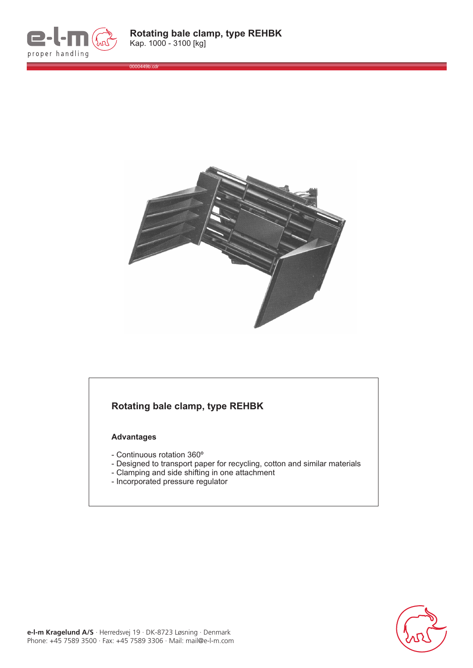

0000449b.cdr



## **Rotating bale clamp, type REHBK**

## **Advantages**

- Continuous rotation 360º
- Designed to transport paper for recycling, cotton and similar materials
- Clamping and side shifting in one attachment
- Incorporated pressure regulator